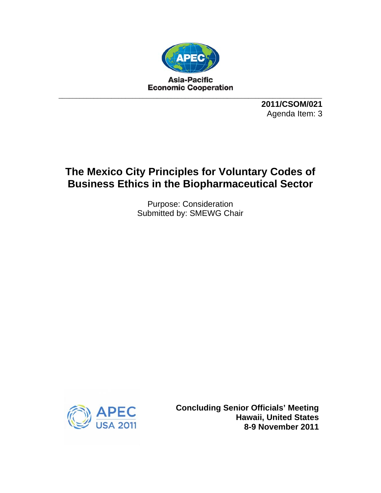

**2011/CSOM/021**  Agenda Item: 3

# **The Mexico City Principles for Voluntary Codes of Business Ethics in the Biopharmaceutical Sector**

Purpose: Consideration Submitted by: SMEWG Chair



**Concluding Senior Officials' Meeting Hawaii, United States 8-9 November 2011**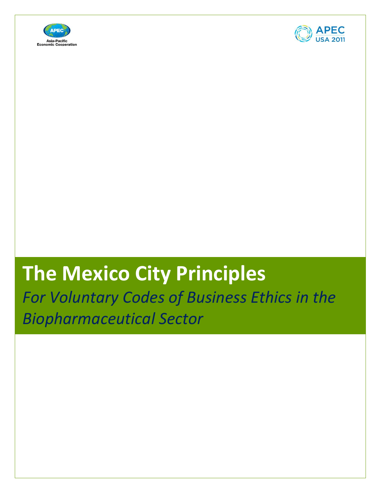



# **The Mexico City Principles**

*For Voluntary Codes of Business Ethics in the Biopharmaceutical Sector*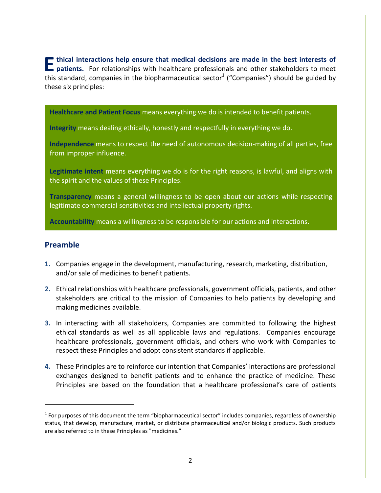**E** thical interactions help ensure that medical decisions are made in the best interests of patients. For relationships with healthcare professionals and other stakeholders to meet this standard companies in the bincharmo **thical interactions help ensure that medical decisions are made in the best interests of** this standard, companies in the biopharmaceutical sector<sup>1</sup> ("Companies") should be guided by these six principles:

**Healthcare and Patient Focus** means everything we do is intended to benefit patients.

**Integrity** means dealing ethically, honestly and respectfully in everything we do.

**Independence** means to respect the need of autonomous decision-making of all parties, free from improper influence.

**Legitimate intent** means everything we do is for the right reasons, is lawful, and aligns with the spirit and the values of these Principles.

**Transparency** means a general willingness to be open about our actions while respecting legitimate commercial sensitivities and intellectual property rights.

**Accountability** means a willingness to be responsible for our actions and interactions.

#### **Preamble**

 $\overline{a}$ 

- **1.** Companies engage in the development, manufacturing, research, marketing, distribution, and/or sale of medicines to benefit patients.
- **2.** Ethical relationships with healthcare professionals, government officials, patients, and other stakeholders are critical to the mission of Companies to help patients by developing and making medicines available.
- **3.** In interacting with all stakeholders, Companies are committed to following the highest ethical standards as well as all applicable laws and regulations. Companies encourage healthcare professionals, government officials, and others who work with Companies to respect these Principles and adopt consistent standards if applicable.
- **4.** These Principles are to reinforce our intention that Companies' interactions are professional exchanges designed to benefit patients and to enhance the practice of medicine. These Principles are based on the foundation that a healthcare professional's care of patients

 $1$  For purposes of this document the term "biopharmaceutical sector" includes companies, regardless of ownership status, that develop, manufacture, market, or distribute pharmaceutical and/or biologic products. Such products are also referred to in these Principles as "medicines."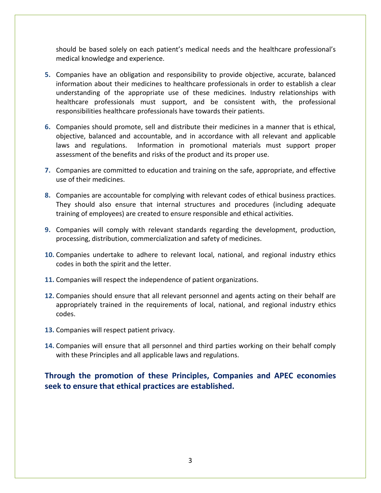should be based solely on each patient's medical needs and the healthcare professional's medical knowledge and experience.

- **5.** Companies have an obligation and responsibility to provide objective, accurate, balanced information about their medicines to healthcare professionals in order to establish a clear understanding of the appropriate use of these medicines. Industry relationships with healthcare professionals must support, and be consistent with, the professional responsibilities healthcare professionals have towards their patients.
- **6.** Companies should promote, sell and distribute their medicines in a manner that is ethical, objective, balanced and accountable, and in accordance with all relevant and applicable laws and regulations. Information in promotional materials must support proper assessment of the benefits and risks of the product and its proper use.
- **7.** Companies are committed to education and training on the safe, appropriate, and effective use of their medicines.
- **8.** Companies are accountable for complying with relevant codes of ethical business practices. They should also ensure that internal structures and procedures (including adequate training of employees) are created to ensure responsible and ethical activities.
- **9.** Companies will comply with relevant standards regarding the development, production, processing, distribution, commercialization and safety of medicines.
- **10.** Companies undertake to adhere to relevant local, national, and regional industry ethics codes in both the spirit and the letter.
- **11.** Companies will respect the independence of patient organizations.
- **12.** Companies should ensure that all relevant personnel and agents acting on their behalf are appropriately trained in the requirements of local, national, and regional industry ethics codes.
- **13.** Companies will respect patient privacy.
- **14.** Companies will ensure that all personnel and third parties working on their behalf comply with these Principles and all applicable laws and regulations.

# **Through the promotion of these Principles, Companies and APEC economies seek to ensure that ethical practices are established.**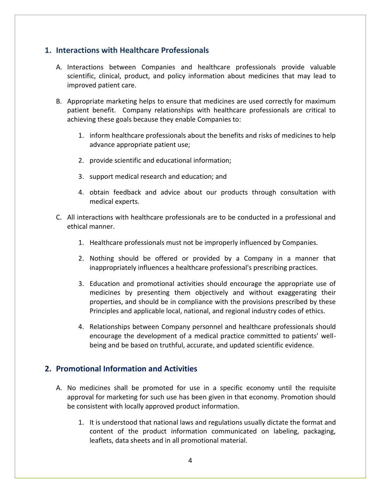#### **1. Interactions with Healthcare Professionals**

- A. Interactions between Companies and healthcare professionals provide valuable scientific, clinical, product, and policy information about medicines that may lead to improved patient care.
- B. Appropriate marketing helps to ensure that medicines are used correctly for maximum patient benefit. Company relationships with healthcare professionals are critical to achieving these goals because they enable Companies to:
	- 1. inform healthcare professionals about the benefits and risks of medicines to help advance appropriate patient use;
	- 2. provide scientific and educational information;
	- 3. support medical research and education; and
	- 4. obtain feedback and advice about our products through consultation with medical experts.
- C. All interactions with healthcare professionals are to be conducted in a professional and ethical manner.
	- 1. Healthcare professionals must not be improperly influenced by Companies.
	- 2. Nothing should be offered or provided by a Company in a manner that inappropriately influences a healthcare professional's prescribing practices.
	- 3. Education and promotional activities should encourage the appropriate use of medicines by presenting them objectively and without exaggerating their properties, and should be in compliance with the provisions prescribed by these Principles and applicable local, national, and regional industry codes of ethics.
	- 4. Relationships between Company personnel and healthcare professionals should encourage the development of a medical practice committed to patients' wellbeing and be based on truthful, accurate, and updated scientific evidence.

#### **2. Promotional Information and Activities**

- A. No medicines shall be promoted for use in a specific economy until the requisite approval for marketing for such use has been given in that economy. Promotion should be consistent with locally approved product information.
	- 1. It is understood that national laws and regulations usually dictate the format and content of the product information communicated on labeling, packaging, leaflets, data sheets and in all promotional material.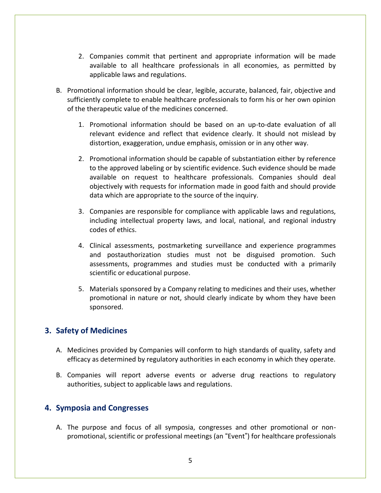- 2. Companies commit that pertinent and appropriate information will be made available to all healthcare professionals in all economies, as permitted by applicable laws and regulations.
- B. Promotional information should be clear, legible, accurate, balanced, fair, objective and sufficiently complete to enable healthcare professionals to form his or her own opinion of the therapeutic value of the medicines concerned.
	- 1. Promotional information should be based on an up-to-date evaluation of all relevant evidence and reflect that evidence clearly. It should not mislead by distortion, exaggeration, undue emphasis, omission or in any other way.
	- 2. Promotional information should be capable of substantiation either by reference to the approved labeling or by scientific evidence. Such evidence should be made available on request to healthcare professionals. Companies should deal objectively with requests for information made in good faith and should provide data which are appropriate to the source of the inquiry.
	- 3. Companies are responsible for compliance with applicable laws and regulations, including intellectual property laws, and local, national, and regional industry codes of ethics.
	- 4. Clinical assessments, postmarketing surveillance and experience programmes and postauthorization studies must not be disguised promotion. Such assessments, programmes and studies must be conducted with a primarily scientific or educational purpose.
	- 5. Materials sponsored by a Company relating to medicines and their uses, whether promotional in nature or not, should clearly indicate by whom they have been sponsored.

#### **3. Safety of Medicines**

- A. Medicines provided by Companies will conform to high standards of quality, safety and efficacy as determined by regulatory authorities in each economy in which they operate.
- B. Companies will report adverse events or adverse drug reactions to regulatory authorities, subject to applicable laws and regulations.

#### **4. Symposia and Congresses**

A. The purpose and focus of all symposia, congresses and other promotional or nonpromotional, scientific or professional meetings (an "Event") for healthcare professionals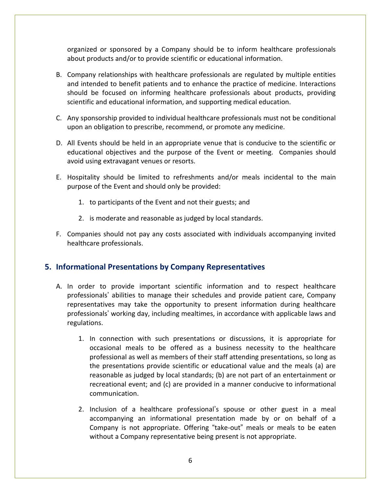organized or sponsored by a Company should be to inform healthcare professionals about products and/or to provide scientific or educational information.

- B. Company relationships with healthcare professionals are regulated by multiple entities and intended to benefit patients and to enhance the practice of medicine. Interactions should be focused on informing healthcare professionals about products, providing scientific and educational information, and supporting medical education.
- C. Any sponsorship provided to individual healthcare professionals must not be conditional upon an obligation to prescribe, recommend, or promote any medicine.
- D. All Events should be held in an appropriate venue that is conducive to the scientific or educational objectives and the purpose of the Event or meeting. Companies should avoid using extravagant venues or resorts.
- E. Hospitality should be limited to refreshments and/or meals incidental to the main purpose of the Event and should only be provided:
	- 1. to participants of the Event and not their guests; and
	- 2. is moderate and reasonable as judged by local standards.
- F. Companies should not pay any costs associated with individuals accompanying invited healthcare professionals.

#### **5. Informational Presentations by Company Representatives**

- A. In order to provide important scientific information and to respect healthcare professionals' abilities to manage their schedules and provide patient care, Company representatives may take the opportunity to present information during healthcare professionals' working day, including mealtimes, in accordance with applicable laws and regulations.
	- 1. In connection with such presentations or discussions, it is appropriate for occasional meals to be offered as a business necessity to the healthcare professional as well as members of their staff attending presentations, so long as the presentations provide scientific or educational value and the meals (a) are reasonable as judged by local standards; (b) are not part of an entertainment or recreational event; and (c) are provided in a manner conducive to informational communication.
	- 2. Inclusion of a healthcare professional's spouse or other guest in a meal accompanying an informational presentation made by or on behalf of a Company is not appropriate. Offering "take-out" meals or meals to be eaten without a Company representative being present is not appropriate.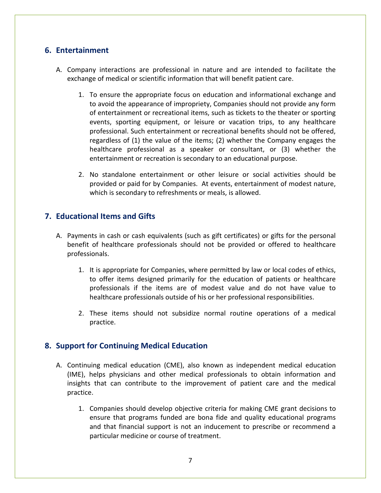#### **6. Entertainment**

- A. Company interactions are professional in nature and are intended to facilitate the exchange of medical or scientific information that will benefit patient care.
	- 1. To ensure the appropriate focus on education and informational exchange and to avoid the appearance of impropriety, Companies should not provide any form of entertainment or recreational items, such as tickets to the theater or sporting events, sporting equipment, or leisure or vacation trips, to any healthcare professional. Such entertainment or recreational benefits should not be offered, regardless of (1) the value of the items; (2) whether the Company engages the healthcare professional as a speaker or consultant, or (3) whether the entertainment or recreation is secondary to an educational purpose.
	- 2. No standalone entertainment or other leisure or social activities should be provided or paid for by Companies. At events, entertainment of modest nature, which is secondary to refreshments or meals, is allowed.

#### **7. Educational Items and Gifts**

- A. Payments in cash or cash equivalents (such as gift certificates) or gifts for the personal benefit of healthcare professionals should not be provided or offered to healthcare professionals.
	- 1. It is appropriate for Companies, where permitted by law or local codes of ethics, to offer items designed primarily for the education of patients or healthcare professionals if the items are of modest value and do not have value to healthcare professionals outside of his or her professional responsibilities.
	- 2. These items should not subsidize normal routine operations of a medical practice.

#### **8. Support for Continuing Medical Education**

- A. Continuing medical education (CME), also known as independent medical education (IME), helps physicians and other medical professionals to obtain information and insights that can contribute to the improvement of patient care and the medical practice.
	- 1. Companies should develop objective criteria for making CME grant decisions to ensure that programs funded are bona fide and quality educational programs and that financial support is not an inducement to prescribe or recommend a particular medicine or course of treatment.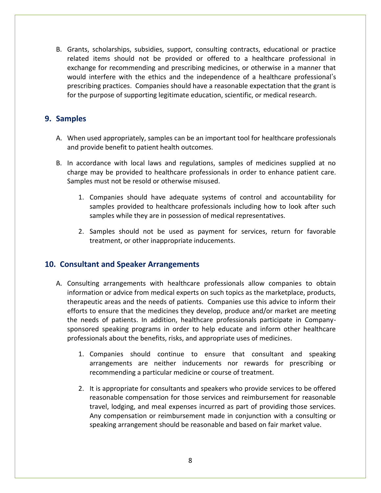B. Grants, scholarships, subsidies, support, consulting contracts, educational or practice related items should not be provided or offered to a healthcare professional in exchange for recommending and prescribing medicines, or otherwise in a manner that would interfere with the ethics and the independence of a healthcare professional's prescribing practices. Companies should have a reasonable expectation that the grant is for the purpose of supporting legitimate education, scientific, or medical research.

#### **9. Samples**

- A. When used appropriately, samples can be an important tool for healthcare professionals and provide benefit to patient health outcomes.
- B. In accordance with local laws and regulations, samples of medicines supplied at no charge may be provided to healthcare professionals in order to enhance patient care. Samples must not be resold or otherwise misused.
	- 1. Companies should have adequate systems of control and accountability for samples provided to healthcare professionals including how to look after such samples while they are in possession of medical representatives.
	- 2. Samples should not be used as payment for services, return for favorable treatment, or other inappropriate inducements.

#### **10. Consultant and Speaker Arrangements**

- A. Consulting arrangements with healthcare professionals allow companies to obtain information or advice from medical experts on such topics as the marketplace, products, therapeutic areas and the needs of patients. Companies use this advice to inform their efforts to ensure that the medicines they develop, produce and/or market are meeting the needs of patients. In addition, healthcare professionals participate in Companysponsored speaking programs in order to help educate and inform other healthcare professionals about the benefits, risks, and appropriate uses of medicines.
	- 1. Companies should continue to ensure that consultant and speaking arrangements are neither inducements nor rewards for prescribing or recommending a particular medicine or course of treatment.
	- 2. It is appropriate for consultants and speakers who provide services to be offered reasonable compensation for those services and reimbursement for reasonable travel, lodging, and meal expenses incurred as part of providing those services. Any compensation or reimbursement made in conjunction with a consulting or speaking arrangement should be reasonable and based on fair market value.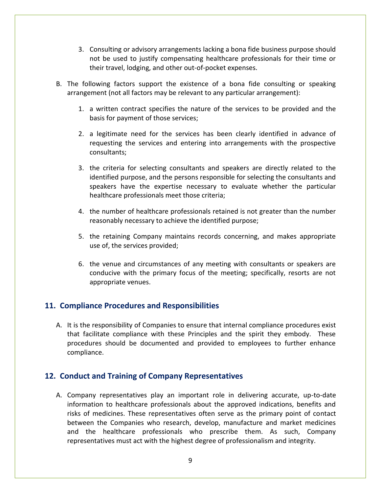- 3. Consulting or advisory arrangements lacking a bona fide business purpose should not be used to justify compensating healthcare professionals for their time or their travel, lodging, and other out-of-pocket expenses.
- B. The following factors support the existence of a bona fide consulting or speaking arrangement (not all factors may be relevant to any particular arrangement):
	- 1. a written contract specifies the nature of the services to be provided and the basis for payment of those services;
	- 2. a legitimate need for the services has been clearly identified in advance of requesting the services and entering into arrangements with the prospective consultants;
	- 3. the criteria for selecting consultants and speakers are directly related to the identified purpose, and the persons responsible for selecting the consultants and speakers have the expertise necessary to evaluate whether the particular healthcare professionals meet those criteria;
	- 4. the number of healthcare professionals retained is not greater than the number reasonably necessary to achieve the identified purpose;
	- 5. the retaining Company maintains records concerning, and makes appropriate use of, the services provided;
	- 6. the venue and circumstances of any meeting with consultants or speakers are conducive with the primary focus of the meeting; specifically, resorts are not appropriate venues.

#### **11. Compliance Procedures and Responsibilities**

A. It is the responsibility of Companies to ensure that internal compliance procedures exist that facilitate compliance with these Principles and the spirit they embody. These procedures should be documented and provided to employees to further enhance compliance.

#### **12. Conduct and Training of Company Representatives**

A. Company representatives play an important role in delivering accurate, up-to-date information to healthcare professionals about the approved indications, benefits and risks of medicines. These representatives often serve as the primary point of contact between the Companies who research, develop, manufacture and market medicines and the healthcare professionals who prescribe them. As such, Company representatives must act with the highest degree of professionalism and integrity.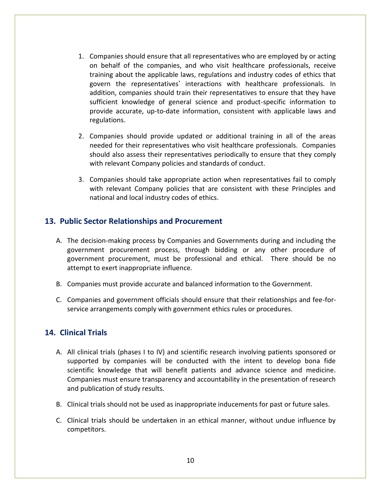- 1. Companies should ensure that all representatives who are employed by or acting on behalf of the companies, and who visit healthcare professionals, receive training about the applicable laws, regulations and industry codes of ethics that govern the representatives' interactions with healthcare professionals. In addition, companies should train their representatives to ensure that they have sufficient knowledge of general science and product-specific information to provide accurate, up-to-date information, consistent with applicable laws and regulations.
- 2. Companies should provide updated or additional training in all of the areas needed for their representatives who visit healthcare professionals. Companies should also assess their representatives periodically to ensure that they comply with relevant Company policies and standards of conduct.
- 3. Companies should take appropriate action when representatives fail to comply with relevant Company policies that are consistent with these Principles and national and local industry codes of ethics.

#### **13. Public Sector Relationships and Procurement**

- A. The decision-making process by Companies and Governments during and including the government procurement process, through bidding or any other procedure of government procurement, must be professional and ethical. There should be no attempt to exert inappropriate influence.
- B. Companies must provide accurate and balanced information to the Government.
- C. Companies and government officials should ensure that their relationships and fee-forservice arrangements comply with government ethics rules or procedures.

#### **14. Clinical Trials**

- A. All clinical trials (phases I to IV) and scientific research involving patients sponsored or supported by companies will be conducted with the intent to develop bona fide scientific knowledge that will benefit patients and advance science and medicine. Companies must ensure transparency and accountability in the presentation of research and publication of study results.
- B. Clinical trials should not be used as inappropriate inducements for past or future sales.
- C. Clinical trials should be undertaken in an ethical manner, without undue influence by competitors.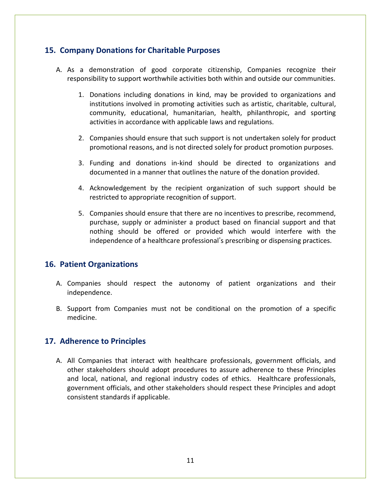#### **15. Company Donations for Charitable Purposes**

- A. As a demonstration of good corporate citizenship, Companies recognize their responsibility to support worthwhile activities both within and outside our communities.
	- 1. Donations including donations in kind, may be provided to organizations and institutions involved in promoting activities such as artistic, charitable, cultural, community, educational, humanitarian, health, philanthropic, and sporting activities in accordance with applicable laws and regulations.
	- 2. Companies should ensure that such support is not undertaken solely for product promotional reasons, and is not directed solely for product promotion purposes.
	- 3. Funding and donations in-kind should be directed to organizations and documented in a manner that outlines the nature of the donation provided.
	- 4. Acknowledgement by the recipient organization of such support should be restricted to appropriate recognition of support.
	- 5. Companies should ensure that there are no incentives to prescribe, recommend, purchase, supply or administer a product based on financial support and that nothing should be offered or provided which would interfere with the independence of a healthcare professional's prescribing or dispensing practices.

### **16. Patient Organizations**

- A. Companies should respect the autonomy of patient organizations and their independence.
- B. Support from Companies must not be conditional on the promotion of a specific medicine.

### **17. Adherence to Principles**

A. All Companies that interact with healthcare professionals, government officials, and other stakeholders should adopt procedures to assure adherence to these Principles and local, national, and regional industry codes of ethics. Healthcare professionals, government officials, and other stakeholders should respect these Principles and adopt consistent standards if applicable.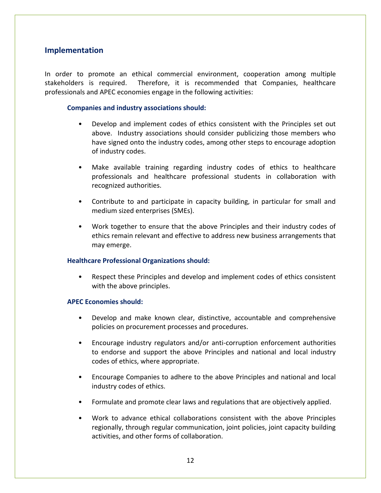#### **Implementation**

In order to promote an ethical commercial environment, cooperation among multiple stakeholders is required. Therefore, it is recommended that Companies, healthcare professionals and APEC economies engage in the following activities:

#### **Companies and industry associations should:**

- Develop and implement codes of ethics consistent with the Principles set out above. Industry associations should consider publicizing those members who have signed onto the industry codes, among other steps to encourage adoption of industry codes.
- Make available training regarding industry codes of ethics to healthcare professionals and healthcare professional students in collaboration with recognized authorities.
- Contribute to and participate in capacity building, in particular for small and medium sized enterprises (SMEs).
- Work together to ensure that the above Principles and their industry codes of ethics remain relevant and effective to address new business arrangements that may emerge.

#### **Healthcare Professional Organizations should:**

Respect these Principles and develop and implement codes of ethics consistent with the above principles.

#### **APEC Economies should:**

- Develop and make known clear, distinctive, accountable and comprehensive policies on procurement processes and procedures.
- Encourage industry regulators and/or anti-corruption enforcement authorities to endorse and support the above Principles and national and local industry codes of ethics, where appropriate.
- Encourage Companies to adhere to the above Principles and national and local industry codes of ethics.
- Formulate and promote clear laws and regulations that are objectively applied.
- Work to advance ethical collaborations consistent with the above Principles regionally, through regular communication, joint policies, joint capacity building activities, and other forms of collaboration.